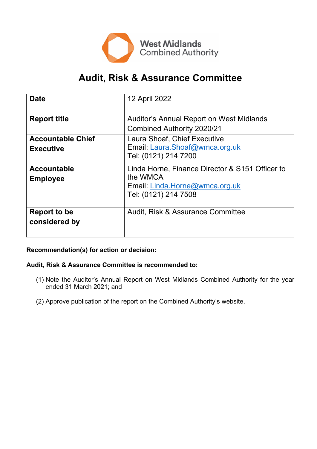

# **Audit, Risk & Assurance Committee**

| <b>Date</b>                                  | 12 April 2022                                                                                                         |
|----------------------------------------------|-----------------------------------------------------------------------------------------------------------------------|
| <b>Report title</b>                          | <b>Auditor's Annual Report on West Midlands</b><br><b>Combined Authority 2020/21</b>                                  |
| <b>Accountable Chief</b><br><b>Executive</b> | Laura Shoaf, Chief Executive<br>Email: Laura.Shoaf@wmca.org.uk<br>Tel: (0121) 214 7200                                |
| <b>Accountable</b><br><b>Employee</b>        | Linda Horne, Finance Director & S151 Officer to<br>the WMCA<br>Email: Linda.Horne@wmca.org.uk<br>Tel: (0121) 214 7508 |
| Report to be<br>considered by                | Audit, Risk & Assurance Committee                                                                                     |

# **Recommendation(s) for action or decision:**

#### **Audit, Risk & Assurance Committee is recommended to:**

- (1) Note the Auditor's Annual Report on West Midlands Combined Authority for the year ended 31 March 2021; and
- (2) Approve publication of the report on the Combined Authority's website.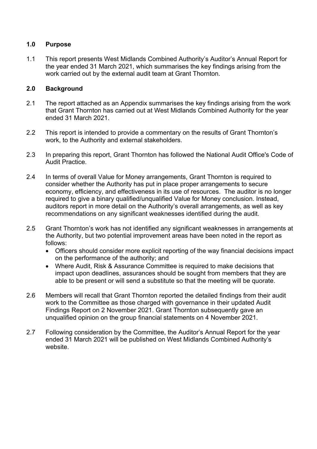## **1.0 Purpose**

1.1 This report presents West Midlands Combined Authority's Auditor's Annual Report for the year ended 31 March 2021, which summarises the key findings arising from the work carried out by the external audit team at Grant Thornton.

# **2.0 Background**

- 2.1 The report attached as an Appendix summarises the key findings arising from the work that Grant Thornton has carried out at West Midlands Combined Authority for the year ended 31 March 2021.
- 2.2 This report is intended to provide a commentary on the results of Grant Thornton's work, to the Authority and external stakeholders.
- 2.3 In preparing this report, Grant Thornton has followed the National Audit Office's Code of Audit Practice.
- 2.4 In terms of overall Value for Money arrangements, Grant Thornton is required to consider whether the Authority has put in place proper arrangements to secure economy, efficiency, and effectiveness in its use of resources. The auditor is no longer required to give a binary qualified/unqualified Value for Money conclusion. Instead, auditors report in more detail on the Authority's overall arrangements, as well as key recommendations on any significant weaknesses identified during the audit.
- 2.5 Grant Thornton's work has not identified any significant weaknesses in arrangements at the Authority, but two potential improvement areas have been noted in the report as follows:
	- Officers should consider more explicit reporting of the way financial decisions impact on the performance of the authority; and
	- Where Audit, Risk & Assurance Committee is required to make decisions that impact upon deadlines, assurances should be sought from members that they are able to be present or will send a substitute so that the meeting will be quorate.
- 2.6 Members will recall that Grant Thornton reported the detailed findings from their audit work to the Committee as those charged with governance in their updated Audit Findings Report on 2 November 2021. Grant Thornton subsequently gave an unqualified opinion on the group financial statements on 4 November 2021.
- 2.7 Following consideration by the Committee, the Auditor's Annual Report for the year ended 31 March 2021 will be published on West Midlands Combined Authority's website.